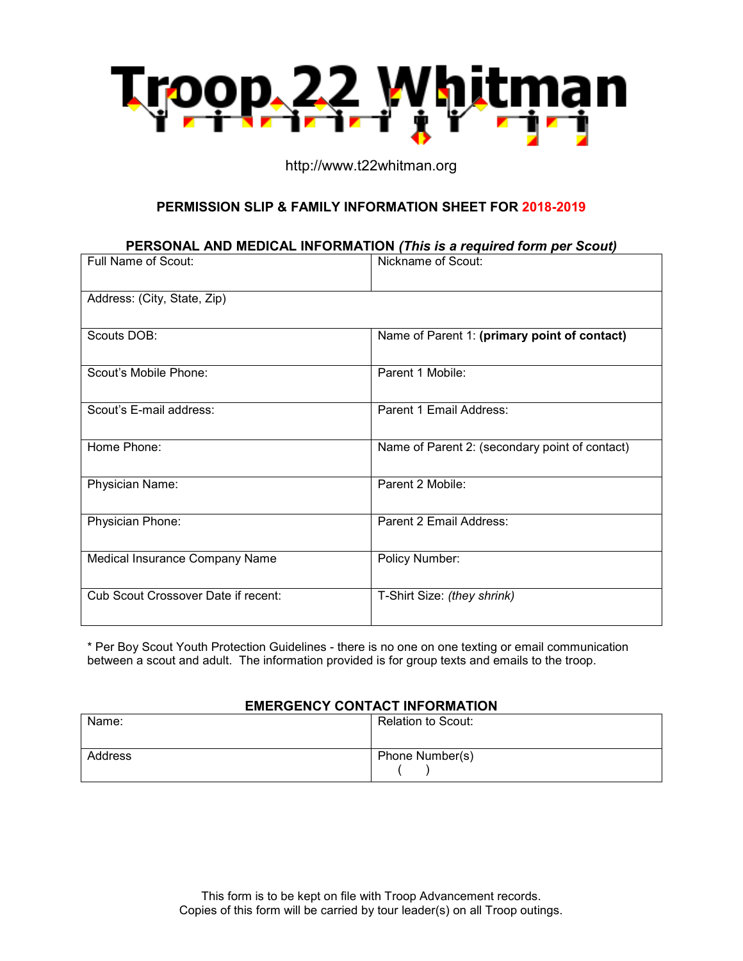

## http://www.t22whitman.org

## **PERMISSION SLIP & FAMILY INFORMATION SHEET FOR 2018-2019**

### **PERSONAL AND MEDICAL INFORMATION** *(This is a required form per Scout)*

| <b>Full Name of Scout:</b>          | Nickname of Scout:                             |
|-------------------------------------|------------------------------------------------|
| Address: (City, State, Zip)         |                                                |
| Scouts DOB:                         | Name of Parent 1: (primary point of contact)   |
| Scout's Mobile Phone:               | Parent 1 Mobile:                               |
| Scout's E-mail address:             | Parent 1 Email Address:                        |
| Home Phone:                         | Name of Parent 2: (secondary point of contact) |
|                                     |                                                |
| Physician Name:                     | Parent 2 Mobile:                               |
| Physician Phone:                    | Parent 2 Email Address:                        |
| Medical Insurance Company Name      | Policy Number:                                 |
| Cub Scout Crossover Date if recent: | T-Shirt Size: (they shrink)                    |

\* Per Boy Scout Youth Protection Guidelines - there is no one on one texting or email communication between a scout and adult. The information provided is for group texts and emails to the troop.

#### **EMERGENCY CONTACT INFORMATION**

| Name:   | <b>Relation to Scout:</b> |
|---------|---------------------------|
| Address | Phone Number(s)           |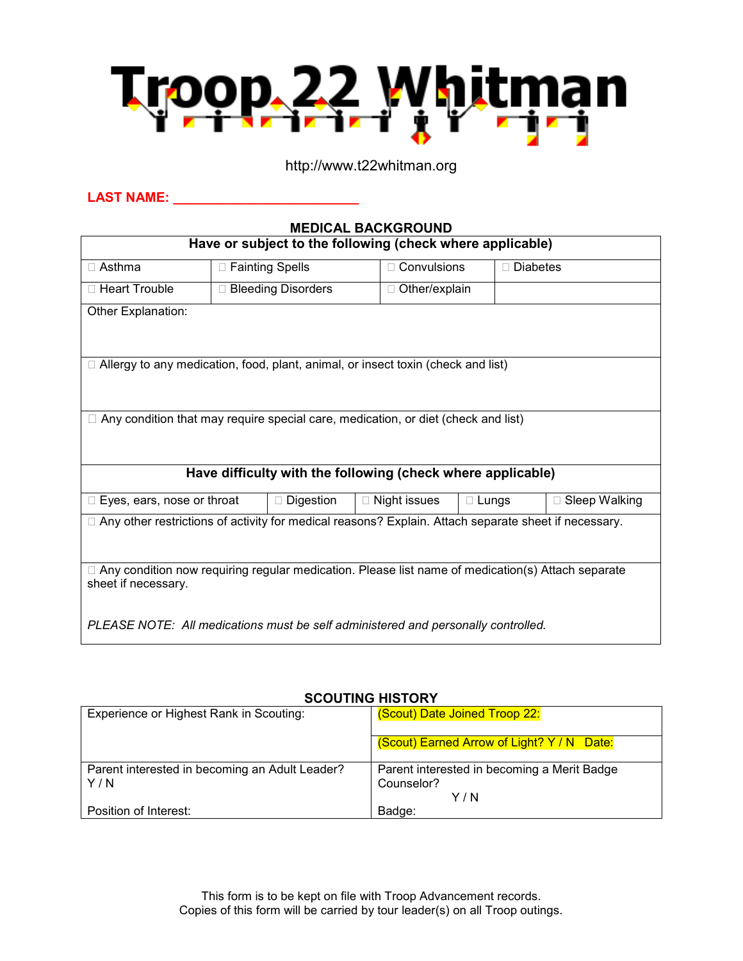

## http://www.t22whitman.org

## **LAST NAME: \_\_\_\_\_\_\_\_\_\_\_\_\_\_\_\_\_\_\_\_\_\_\_\_\_**

| <b>MEDICAL BACKGROUND</b>                                                                                                       |                      |                     |              |                 |  |  |
|---------------------------------------------------------------------------------------------------------------------------------|----------------------|---------------------|--------------|-----------------|--|--|
| Have or subject to the following (check where applicable)                                                                       |                      |                     |              |                 |  |  |
| $\Box$ Asthma                                                                                                                   | □ Fainting Spells    | $\Box$ Convulsions  |              | $\Box$ Diabetes |  |  |
| □ Heart Trouble                                                                                                                 | □ Bleeding Disorders | □ Other/explain     |              |                 |  |  |
| Other Explanation:                                                                                                              |                      |                     |              |                 |  |  |
|                                                                                                                                 |                      |                     |              |                 |  |  |
| □ Allergy to any medication, food, plant, animal, or insect toxin (check and list)                                              |                      |                     |              |                 |  |  |
|                                                                                                                                 |                      |                     |              |                 |  |  |
| $\Box$ Any condition that may require special care, medication, or diet (check and list)                                        |                      |                     |              |                 |  |  |
|                                                                                                                                 |                      |                     |              |                 |  |  |
| Have difficulty with the following (check where applicable)                                                                     |                      |                     |              |                 |  |  |
| $\Box$ Eyes, ears, nose or throat                                                                                               | □ Digestion          | $\Box$ Night issues | $\Box$ Lungs | □ Sleep Walking |  |  |
| □ Any other restrictions of activity for medical reasons? Explain. Attach separate sheet if necessary.                          |                      |                     |              |                 |  |  |
|                                                                                                                                 |                      |                     |              |                 |  |  |
| $\Box$ Any condition now requiring regular medication. Please list name of medication(s) Attach separate<br>sheet if necessary. |                      |                     |              |                 |  |  |
| PLEASE NOTE: All medications must be self administered and personally controlled.                                               |                      |                     |              |                 |  |  |

# **SCOUTING HISTORY**

| Experience or Highest Rank in Scouting:        | (Scout) Date Joined Troop 22:               |
|------------------------------------------------|---------------------------------------------|
|                                                | (Scout) Earned Arrow of Light? Y / N Date:  |
| Parent interested in becoming an Adult Leader? | Parent interested in becoming a Merit Badge |
| Y/N                                            | Counselor?                                  |
|                                                | Y / N                                       |
| Position of Interest:                          | Badge:                                      |